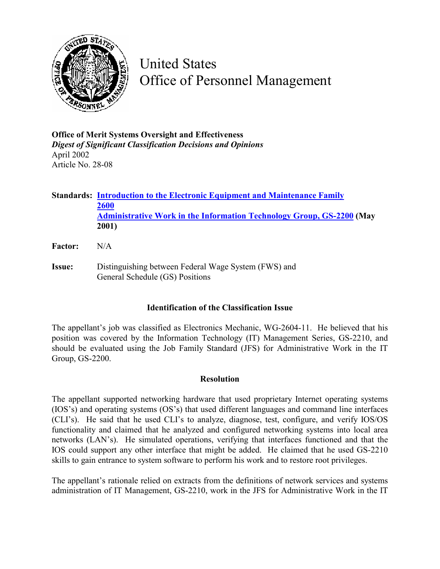

United States Office of Personnel Management

**Office of Merit Systems Oversight and Effectiveness**  *Digest of Significant Classification Decisions and Opinions* April 2002 Article No. 28-08

**Standards: [Introduction to the Electronic Equipment and Maintenance Family](http://www.opm.gov/fedclass/fws2600.pdf) [2600](http://www.opm.gov/fedclass/fws2600.pdf) [Administrative Work in the Information Technology Group, GS-2200](http://www.opm.gov/fedclass/gs2200a.pdf) (May 2001)** 

- **Factor:** N/A
- **Issue:** Distinguishing between Federal Wage System (FWS) and General Schedule (GS) Positions

## **Identification of the Classification Issue**

The appellant's job was classified as Electronics Mechanic, WG-2604-11. He believed that his position was covered by the Information Technology (IT) Management Series, GS-2210, and should be evaluated using the Job Family Standard (JFS) for Administrative Work in the IT Group, GS-2200.

## **Resolution**

The appellant supported networking hardware that used proprietary Internet operating systems (IOS's) and operating systems (OS's) that used different languages and command line interfaces (CLI's). He said that he used CLI's to analyze, diagnose, test, configure, and verify IOS/OS functionality and claimed that he analyzed and configured networking systems into local area networks (LAN's). He simulated operations, verifying that interfaces functioned and that the IOS could support any other interface that might be added. He claimed that he used GS-2210 skills to gain entrance to system software to perform his work and to restore root privileges.

The appellant's rationale relied on extracts from the definitions of network services and systems administration of IT Management, GS-2210, work in the JFS for Administrative Work in the IT